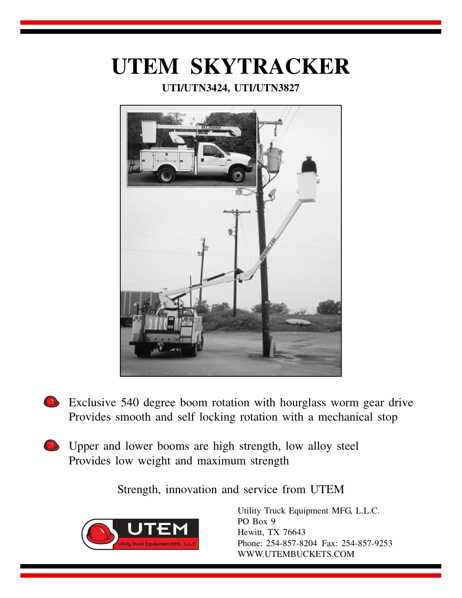# **UTEM SKYTRACKER**

# **UTI/UTN3424, UTI/UTN3827**



- Exclusive 540 degree boom rotation with hourglass worm gear drive Provides smooth and self locking rotation with a mechanical stop
- Upper and lower booms are high strength, low alloy steel Provides low weight and maximum strength

Strength, innovation and service from UTEM



Utility Truck Equipment MFG, L.L.C. PO Box 9 Hewitt, TX 76643 Phone: 254-857-8204 Fax: 254-857-9253 WWW.UTEMBUCKETS.COM